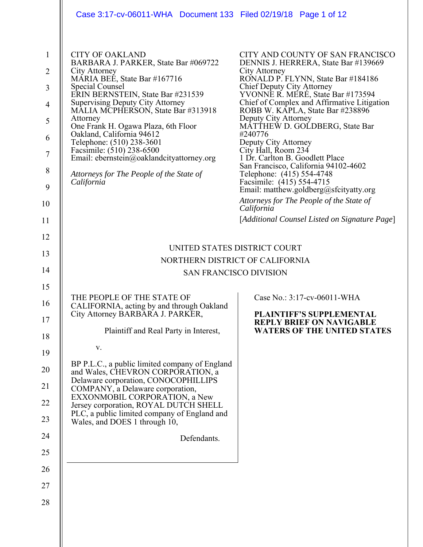|                                                                                            | Case 3:17-cv-06011-WHA Document 133 Filed 02/19/18 Page 1 of 12                                                                                                                                                                                                                                                                                                                                                                                                                                                  |                                                                                                                                                                                                                                                                                                                                                                                                                                                                                                                                                                                                                                                                                                     |  |  |
|--------------------------------------------------------------------------------------------|------------------------------------------------------------------------------------------------------------------------------------------------------------------------------------------------------------------------------------------------------------------------------------------------------------------------------------------------------------------------------------------------------------------------------------------------------------------------------------------------------------------|-----------------------------------------------------------------------------------------------------------------------------------------------------------------------------------------------------------------------------------------------------------------------------------------------------------------------------------------------------------------------------------------------------------------------------------------------------------------------------------------------------------------------------------------------------------------------------------------------------------------------------------------------------------------------------------------------------|--|--|
| $\mathbf{1}$<br>$\overline{2}$<br>3<br>$\overline{4}$<br>5<br>6<br>7<br>8<br>9<br>10<br>11 | <b>CITY OF OAKLAND</b><br>BARBARA J. PARKER, State Bar #069722<br>City Attorney<br>MARIA BEÉ, State Bar #167716<br><b>Special Counsel</b><br>ERIN BERNSTEIN, State Bar #231539<br><b>Supervising Deputy City Attorney</b><br>MALIA MCPHERSON, State Bar #313918<br>Attorney<br>One Frank H. Ogawa Plaza, 6th Floor<br>Oakland, California 94612<br>Telephone: (510) 238-3601<br>Facsimile: (510) 238-6500<br>Email: ebernstein@oaklandcityattorney.org<br>Attorneys for The People of the State of<br>California | CITY AND COUNTY OF SAN FRANCISCO<br>DENNIS J. HERRERA, State Bar #139669<br>City Attorney<br>RONALD P. FLYNN, State Bar #184186<br>Chief Deputy City Attorney<br>YVONNE R. MERÉ, State Bar #173594<br>Chief of Complex and Affirmative Litigation<br>ROBB W. KAPLA, State Bar #238896<br>Deputy City Attorney<br>MATTHEW D. GOLDBERG, State Bar<br>#240776<br>Deputy City Attorney<br>City Hall, Room 234<br>1 Dr. Carlton B. Goodlett Place<br>San Francisco, California 94102-4602<br>Telephone: (415) 554-4748<br>Facsimile: (415) 554-4715<br>Email: matthew.goldberg@sfcityatty.org<br>Attorneys for The People of the State of<br>California<br>[Additional Counsel Listed on Signature Page] |  |  |
| 12                                                                                         | UNITED STATES DISTRICT COURT                                                                                                                                                                                                                                                                                                                                                                                                                                                                                     |                                                                                                                                                                                                                                                                                                                                                                                                                                                                                                                                                                                                                                                                                                     |  |  |
| 13                                                                                         | NORTHERN DISTRICT OF CALIFORNIA                                                                                                                                                                                                                                                                                                                                                                                                                                                                                  |                                                                                                                                                                                                                                                                                                                                                                                                                                                                                                                                                                                                                                                                                                     |  |  |
| 14                                                                                         | <b>SAN FRANCISCO DIVISION</b>                                                                                                                                                                                                                                                                                                                                                                                                                                                                                    |                                                                                                                                                                                                                                                                                                                                                                                                                                                                                                                                                                                                                                                                                                     |  |  |
| 15                                                                                         |                                                                                                                                                                                                                                                                                                                                                                                                                                                                                                                  |                                                                                                                                                                                                                                                                                                                                                                                                                                                                                                                                                                                                                                                                                                     |  |  |
| 16<br>17                                                                                   | THE PEOPLE OF THE STATE OF<br>CALIFORNIA, acting by and through Oakland<br>City Attorney BARBARA J. PARKER,<br>Plaintiff and Real Party in Interest,                                                                                                                                                                                                                                                                                                                                                             | Case No.: 3:17-cv-06011-WHA<br><b>PLAINTIFF'S SUPPLEMENTAL</b><br><b>REPLY BRIEF ON NAVIGABLE</b><br><b>WATERS OF THE UNITED STATES</b>                                                                                                                                                                                                                                                                                                                                                                                                                                                                                                                                                             |  |  |
| 18                                                                                         |                                                                                                                                                                                                                                                                                                                                                                                                                                                                                                                  |                                                                                                                                                                                                                                                                                                                                                                                                                                                                                                                                                                                                                                                                                                     |  |  |
| 19                                                                                         | V.                                                                                                                                                                                                                                                                                                                                                                                                                                                                                                               |                                                                                                                                                                                                                                                                                                                                                                                                                                                                                                                                                                                                                                                                                                     |  |  |
| 20                                                                                         | BP P.L.C., a public limited company of England<br>and Wales, CHEVRON CORPORATION, a<br>Delaware corporation, CONOCOPHILLIPS                                                                                                                                                                                                                                                                                                                                                                                      |                                                                                                                                                                                                                                                                                                                                                                                                                                                                                                                                                                                                                                                                                                     |  |  |
| 21                                                                                         | COMPANY, a Delaware corporation,<br>EXXONMOBIL CORPORATION, a New                                                                                                                                                                                                                                                                                                                                                                                                                                                |                                                                                                                                                                                                                                                                                                                                                                                                                                                                                                                                                                                                                                                                                                     |  |  |
| 22                                                                                         | Jersey corporation, ROYAL DUTCH SHELL                                                                                                                                                                                                                                                                                                                                                                                                                                                                            |                                                                                                                                                                                                                                                                                                                                                                                                                                                                                                                                                                                                                                                                                                     |  |  |
| 23                                                                                         | PLC, a public limited company of England and<br>Wales, and DOES 1 through 10,                                                                                                                                                                                                                                                                                                                                                                                                                                    |                                                                                                                                                                                                                                                                                                                                                                                                                                                                                                                                                                                                                                                                                                     |  |  |
| 24                                                                                         | Defendants.                                                                                                                                                                                                                                                                                                                                                                                                                                                                                                      |                                                                                                                                                                                                                                                                                                                                                                                                                                                                                                                                                                                                                                                                                                     |  |  |
| 25                                                                                         |                                                                                                                                                                                                                                                                                                                                                                                                                                                                                                                  |                                                                                                                                                                                                                                                                                                                                                                                                                                                                                                                                                                                                                                                                                                     |  |  |
| 26                                                                                         |                                                                                                                                                                                                                                                                                                                                                                                                                                                                                                                  |                                                                                                                                                                                                                                                                                                                                                                                                                                                                                                                                                                                                                                                                                                     |  |  |
| 27                                                                                         |                                                                                                                                                                                                                                                                                                                                                                                                                                                                                                                  |                                                                                                                                                                                                                                                                                                                                                                                                                                                                                                                                                                                                                                                                                                     |  |  |
| 28                                                                                         |                                                                                                                                                                                                                                                                                                                                                                                                                                                                                                                  |                                                                                                                                                                                                                                                                                                                                                                                                                                                                                                                                                                                                                                                                                                     |  |  |
|                                                                                            |                                                                                                                                                                                                                                                                                                                                                                                                                                                                                                                  |                                                                                                                                                                                                                                                                                                                                                                                                                                                                                                                                                                                                                                                                                                     |  |  |
|                                                                                            |                                                                                                                                                                                                                                                                                                                                                                                                                                                                                                                  |                                                                                                                                                                                                                                                                                                                                                                                                                                                                                                                                                                                                                                                                                                     |  |  |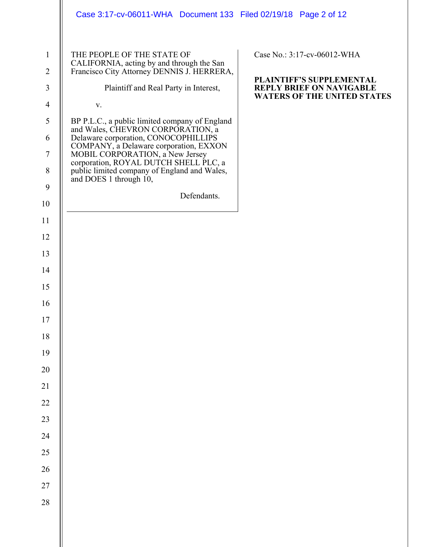|                                | Case 3:17-cv-06011-WHA Document 133 Filed 02/19/18 Page 2 of 12                                                       |                                                             |
|--------------------------------|-----------------------------------------------------------------------------------------------------------------------|-------------------------------------------------------------|
| $\mathbf{1}$<br>$\overline{2}$ | THE PEOPLE OF THE STATE OF<br>CALIFORNIA, acting by and through the San<br>Francisco City Attorney DENNIS J. HERRERA, | Case No.: 3:17-cv-06012-WHA                                 |
| $\mathfrak{Z}$                 | Plaintiff and Real Party in Interest,                                                                                 | PLAINTIFF'S SUPPLEMENTAL<br><b>REPLY BRIEF ON NAVIGABLE</b> |
| $\overline{4}$                 | V.                                                                                                                    | <b>WATERS OF THE UNITED STATES</b>                          |
| 5                              | BP P.L.C., a public limited company of England<br>and Wales, CHEVRON CORPORATION, a                                   |                                                             |
| 6                              | Delaware corporation, CONOCOPHILLIPS<br>COMPANY, a Delaware corporation, EXXON                                        |                                                             |
| $\overline{7}$                 | MOBIL CORPORATION, a New Jersey<br>corporation, ROYAL DUTCH SHELL PLC, a                                              |                                                             |
| $\,8\,$                        | public limited company of England and Wales,<br>and DOES 1 through 10,                                                |                                                             |
| $\mathbf{9}$                   | Defendants.                                                                                                           |                                                             |
| 10                             |                                                                                                                       |                                                             |
| 11                             |                                                                                                                       |                                                             |
| 12                             |                                                                                                                       |                                                             |
| 13                             |                                                                                                                       |                                                             |
| 14                             |                                                                                                                       |                                                             |
| 15                             |                                                                                                                       |                                                             |
| 16                             |                                                                                                                       |                                                             |
| $17\,$                         |                                                                                                                       |                                                             |
| 18                             |                                                                                                                       |                                                             |
| 19                             |                                                                                                                       |                                                             |
| 20                             |                                                                                                                       |                                                             |
| 21                             |                                                                                                                       |                                                             |
| $22\,$                         |                                                                                                                       |                                                             |
| 23                             |                                                                                                                       |                                                             |
| 24                             |                                                                                                                       |                                                             |
| $25\,$                         |                                                                                                                       |                                                             |
| 26                             |                                                                                                                       |                                                             |
| $27\,$                         |                                                                                                                       |                                                             |
| $28\,$                         |                                                                                                                       |                                                             |
|                                |                                                                                                                       |                                                             |
|                                |                                                                                                                       |                                                             |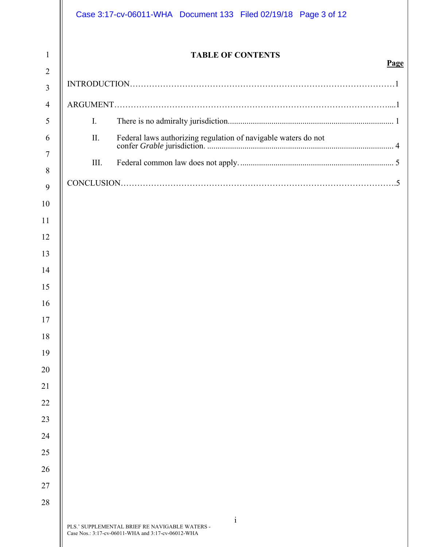|                     |                | Case 3:17-cv-06011-WHA  Document 133  Filed 02/19/18  Page 3 of 12                                                   |      |
|---------------------|----------------|----------------------------------------------------------------------------------------------------------------------|------|
| $\mathbf{1}$        |                | <b>TABLE OF CONTENTS</b>                                                                                             | Page |
| $\overline{2}$      |                |                                                                                                                      |      |
| $\overline{3}$      |                |                                                                                                                      |      |
| $\overline{4}$<br>5 | $\mathbf{I}$ . |                                                                                                                      |      |
| 6                   | II.            |                                                                                                                      |      |
| 7                   |                |                                                                                                                      |      |
| 8                   | III.           |                                                                                                                      |      |
| 9                   |                |                                                                                                                      |      |
| 10                  |                |                                                                                                                      |      |
| 11                  |                |                                                                                                                      |      |
| 12                  |                |                                                                                                                      |      |
| 13                  |                |                                                                                                                      |      |
| 14                  |                |                                                                                                                      |      |
| 15                  |                |                                                                                                                      |      |
| 16                  |                |                                                                                                                      |      |
| 17                  |                |                                                                                                                      |      |
| 18                  |                |                                                                                                                      |      |
| 19                  |                |                                                                                                                      |      |
| 20                  |                |                                                                                                                      |      |
| 21                  |                |                                                                                                                      |      |
| 22                  |                |                                                                                                                      |      |
| 23                  |                |                                                                                                                      |      |
| 24                  |                |                                                                                                                      |      |
| 25                  |                |                                                                                                                      |      |
| 26                  |                |                                                                                                                      |      |
| 27                  |                |                                                                                                                      |      |
| 28                  |                |                                                                                                                      |      |
|                     |                | $\mathbf{i}$<br>PLS.' SUPPLEMENTAL BRIEF RE NAVIGABLE WATERS -<br>Case Nos.: 3:17-cv-06011-WHA and 3:17-cv-06012-WHA |      |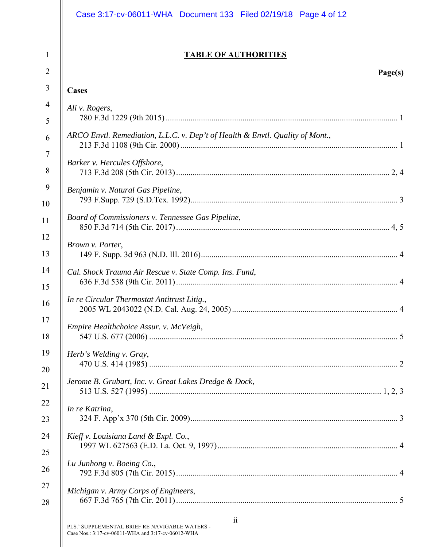|                | Case 3:17-cv-06011-WHA Document 133 Filed 02/19/18 Page 4 of 12                                            |
|----------------|------------------------------------------------------------------------------------------------------------|
| $\mathbf{1}$   | <b>TABLE OF AUTHORITIES</b>                                                                                |
| $\overline{2}$ | Page(s)                                                                                                    |
| 3              | Cases                                                                                                      |
| $\overline{4}$ | Ali v. Rogers,                                                                                             |
| 5              |                                                                                                            |
| 6              | ARCO Envtl. Remediation, L.L.C. v. Dep't of Health & Envtl. Quality of Mont.,                              |
| $\overline{7}$ | Barker v. Hercules Offshore,                                                                               |
| 8              |                                                                                                            |
| 9              | Benjamin v. Natural Gas Pipeline,                                                                          |
| 10             |                                                                                                            |
| 11             | Board of Commissioners v. Tennessee Gas Pipeline,                                                          |
| 12             | Brown v. Porter,                                                                                           |
| 13             |                                                                                                            |
| 14             | Cal. Shock Trauma Air Rescue v. State Comp. Ins. Fund,                                                     |
| 15             |                                                                                                            |
| 16             | In re Circular Thermostat Antitrust Litig.,                                                                |
| 17             | Empire Healthchoice Assur. v. McVeigh,                                                                     |
| 18             |                                                                                                            |
| 19             | Herb's Welding v. Gray,                                                                                    |
| 20             |                                                                                                            |
| 21             | Jerome B. Grubart, Inc. v. Great Lakes Dredge & Dock,                                                      |
| 22             | In re Katrina,                                                                                             |
| 23             |                                                                                                            |
| 24             | Kieff v. Louisiana Land & Expl. Co.,                                                                       |
| 25             |                                                                                                            |
| 26             | Lu Junhong v. Boeing Co.,                                                                                  |
| 27             | Michigan v. Army Corps of Engineers,                                                                       |
| 28             |                                                                                                            |
|                | 11<br>PLS.' SUPPLEMENTAL BRIEF RE NAVIGABLE WATERS -<br>Case Nos.: 3:17-cv-06011-WHA and 3:17-cv-06012-WHA |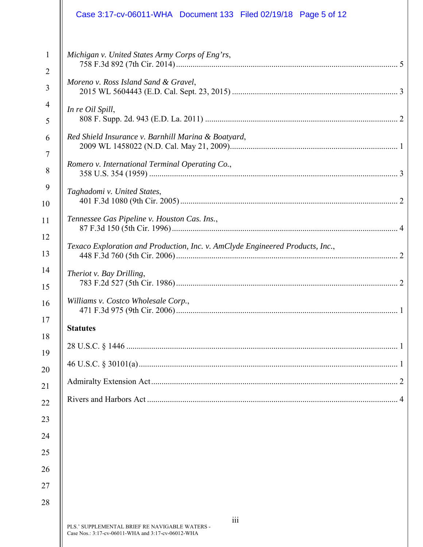|                                | Case 3:17-cv-06011-WHA Document 133 Filed 02/19/18 Page 5 of 12                                             |
|--------------------------------|-------------------------------------------------------------------------------------------------------------|
| $\mathbf{1}$<br>$\overline{2}$ | Michigan v. United States Army Corps of Eng'rs,                                                             |
| 3                              | Moreno v. Ross Island Sand & Gravel,                                                                        |
| $\overline{4}$<br>5            | In re Oil Spill,                                                                                            |
| 6                              | Red Shield Insurance v. Barnhill Marina & Boatyard,                                                         |
| 7<br>8                         | Romero v. International Terminal Operating Co.,                                                             |
| 9<br>10                        | Taghadomi v. United States,                                                                                 |
| 11                             | Tennessee Gas Pipeline v. Houston Cas. Ins.,                                                                |
| 12<br>13                       | Texaco Exploration and Production, Inc. v. AmClyde Engineered Products, Inc.,                               |
| 14<br>15                       | Theriot v. Bay Drilling,                                                                                    |
| 16                             | Williams v. Costco Wholesale Corp.,<br>. 1                                                                  |
| 17                             | <b>Statutes</b>                                                                                             |
| 18<br>19                       |                                                                                                             |
| 20                             |                                                                                                             |
| 21                             |                                                                                                             |
| 22                             |                                                                                                             |
| 23                             |                                                                                                             |
| 24                             |                                                                                                             |
| 25                             |                                                                                                             |
| 26                             |                                                                                                             |
| 27                             |                                                                                                             |
| 28                             |                                                                                                             |
|                                | 111<br>PLS.' SUPPLEMENTAL BRIEF RE NAVIGABLE WATERS -<br>Case Nos.: 3:17-cv-06011-WHA and 3:17-cv-06012-WHA |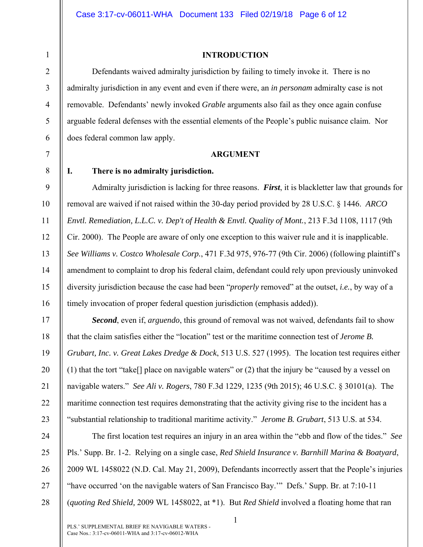**INTRODUCTION** 

Defendants waived admiralty jurisdiction by failing to timely invoke it. There is no admiralty jurisdiction in any event and even if there were, an *in personam* admiralty case is not removable. Defendants' newly invoked *Grable* arguments also fail as they once again confuse arguable federal defenses with the essential elements of the People's public nuisance claim. Nor does federal common law apply.

#### **ARGUMENT**

1

2

3

4

5

6

7

8

9

10

11

12

## **I. There is no admiralty jurisdiction.**

Admiralty jurisdiction is lacking for three reasons. *First*, it is blackletter law that grounds for removal are waived if not raised within the 30-day period provided by 28 U.S.C. § 1446. *ARCO Envtl. Remediation, L.L.C. v. Dep't of Health & Envtl. Quality of Mont.*, 213 F.3d 1108, 1117 (9th Cir. 2000). The People are aware of only one exception to this waiver rule and it is inapplicable. *See Williams v. Costco Wholesale Corp.*, 471 F.3d 975, 976-77 (9th Cir. 2006) (following plaintiff's amendment to complaint to drop his federal claim, defendant could rely upon previously uninvoked diversity jurisdiction because the case had been "*properly* removed" at the outset, *i.e.*, by way of a timely invocation of proper federal question jurisdiction (emphasis added)).

*Second*, even if, *arguendo*, this ground of removal was not waived, defendants fail to show that the claim satisfies either the "location" test or the maritime connection test of *Jerome B. Grubart, Inc. v. Great Lakes Dredge & Dock*, 513 U.S. 527 (1995). The location test requires either (1) that the tort "take[] place on navigable waters" or (2) that the injury be "caused by a vessel on navigable waters." *See Ali v. Rogers*, 780 F.3d 1229, 1235 (9th 2015); 46 U.S.C. § 30101(a). The maritime connection test requires demonstrating that the activity giving rise to the incident has a "substantial relationship to traditional maritime activity." *Jerome B. Grubart*, 513 U.S. at 534.

The first location test requires an injury in an area within the "ebb and flow of the tides." *See* Pls.' Supp. Br. 1-2. Relying on a single case, *Red Shield Insurance v. Barnhill Marina & Boatyard*, 2009 WL 1458022 (N.D. Cal. May 21, 2009), Defendants incorrectly assert that the People's injuries "have occurred 'on the navigable waters of San Francisco Bay.'" Defs.' Supp. Br. at 7:10-11 (*quoting Red Shield,* 2009 WL 1458022, at \*1). But *Red Shield* involved a floating home that ran

1

25

26

27

28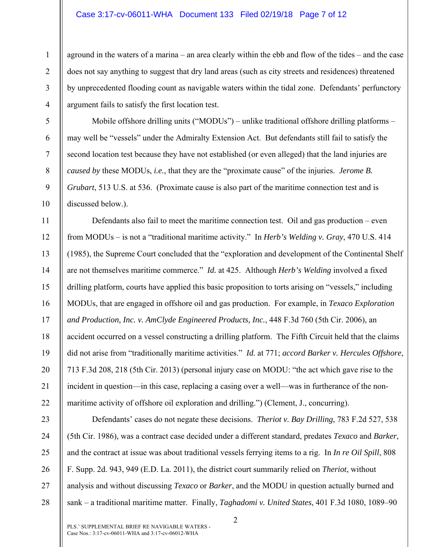#### Case 3:17-cv-06011-WHA Document 133 Filed 02/19/18 Page 7 of 12

1

2

3

4

5

6

7

8

9

10

aground in the waters of a marina – an area clearly within the ebb and flow of the tides – and the case does not say anything to suggest that dry land areas (such as city streets and residences) threatened by unprecedented flooding count as navigable waters within the tidal zone. Defendants' perfunctory argument fails to satisfy the first location test.

Mobile offshore drilling units ("MODUs") – unlike traditional offshore drilling platforms – may well be "vessels" under the Admiralty Extension Act. But defendants still fail to satisfy the second location test because they have not established (or even alleged) that the land injuries are *caused by* these MODUs, *i.e.*, that they are the "proximate cause" of the injuries. *Jerome B. Grubart*, 513 U.S. at 536. (Proximate cause is also part of the maritime connection test and is discussed below.).

11 12 13 14 15 16 17 18 19 20 21 22 Defendants also fail to meet the maritime connection test. Oil and gas production – even from MODUs – is not a "traditional maritime activity." In *Herb's Welding v. Gray*, 470 U.S. 414 (1985), the Supreme Court concluded that the "exploration and development of the Continental Shelf are not themselves maritime commerce." *Id.* at 425. Although *Herb's Welding* involved a fixed drilling platform, courts have applied this basic proposition to torts arising on "vessels," including MODUs, that are engaged in offshore oil and gas production. For example, in *Texaco Exploration and Production, Inc. v. AmClyde Engineered Products, Inc.*, 448 F.3d 760 (5th Cir. 2006), an accident occurred on a vessel constructing a drilling platform. The Fifth Circuit held that the claims did not arise from "traditionally maritime activities." *Id.* at 771; *accord Barker v. Hercules Offshore*, 713 F.3d 208, 218 (5th Cir. 2013) (personal injury case on MODU: "the act which gave rise to the incident in question—in this case, replacing a casing over a well—was in furtherance of the nonmaritime activity of offshore oil exploration and drilling.") (Clement, J., concurring).

23 24 25 26 27 28 Defendants' cases do not negate these decisions. *Theriot v. Bay Drilling*, 783 F.2d 527, 538 (5th Cir. 1986), was a contract case decided under a different standard, predates *Texaco* and *Barker*, and the contract at issue was about traditional vessels ferrying items to a rig. In *In re Oil Spill*, 808 F. Supp. 2d. 943, 949 (E.D. La. 2011), the district court summarily relied on *Theriot*, without analysis and without discussing *Texaco* or *Barker*, and the MODU in question actually burned and sank – a traditional maritime matter. Finally, *Taghadomi v. United States*, 401 F.3d 1080, 1089–90

2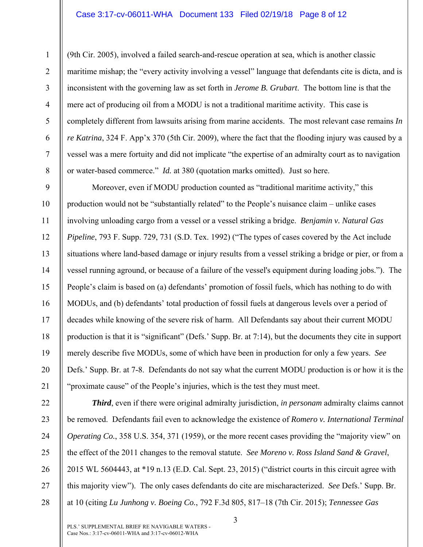### Case 3:17-cv-06011-WHA Document 133 Filed 02/19/18 Page 8 of 12

1

2

3

4

5

6

7

8

9

10

11

12

13

14

15

16

17

18

19

20

21

(9th Cir. 2005), involved a failed search-and-rescue operation at sea, which is another classic maritime mishap; the "every activity involving a vessel" language that defendants cite is dicta, and is inconsistent with the governing law as set forth in *Jerome B. Grubart*. The bottom line is that the mere act of producing oil from a MODU is not a traditional maritime activity. This case is completely different from lawsuits arising from marine accidents. The most relevant case remains *In re Katrina*, 324 F. App'x 370 (5th Cir. 2009), where the fact that the flooding injury was caused by a vessel was a mere fortuity and did not implicate "the expertise of an admiralty court as to navigation or water-based commerce." *Id.* at 380 (quotation marks omitted). Just so here.

Moreover, even if MODU production counted as "traditional maritime activity," this production would not be "substantially related" to the People's nuisance claim – unlike cases involving unloading cargo from a vessel or a vessel striking a bridge. *Benjamin v. Natural Gas Pipeline*, 793 F. Supp. 729, 731 (S.D. Tex. 1992) ("The types of cases covered by the Act include situations where land-based damage or injury results from a vessel striking a bridge or pier, or from a vessel running aground, or because of a failure of the vessel's equipment during loading jobs."). The People's claim is based on (a) defendants' promotion of fossil fuels, which has nothing to do with MODUs, and (b) defendants' total production of fossil fuels at dangerous levels over a period of decades while knowing of the severe risk of harm. All Defendants say about their current MODU production is that it is "significant" (Defs.' Supp. Br. at 7:14), but the documents they cite in support merely describe five MODUs, some of which have been in production for only a few years. *See* Defs.' Supp. Br. at 7-8. Defendants do not say what the current MODU production is or how it is the "proximate cause" of the People's injuries, which is the test they must meet.

22 23 24 25 26 27 28 *Third*, even if there were original admiralty jurisdiction, *in personam* admiralty claims cannot be removed. Defendants fail even to acknowledge the existence of *Romero v. International Terminal Operating Co.*, 358 U.S. 354, 371 (1959), or the more recent cases providing the "majority view" on the effect of the 2011 changes to the removal statute. *See Moreno v. Ross Island Sand & Gravel*, 2015 WL 5604443, at \*19 n.13 (E.D. Cal. Sept. 23, 2015) ("district courts in this circuit agree with this majority view"). The only cases defendants do cite are mischaracterized. *See* Defs.' Supp. Br. at 10 (citing *Lu Junhong v. Boeing Co.*, 792 F.3d 805, 817–18 (7th Cir. 2015); *Tennessee Gas* 

3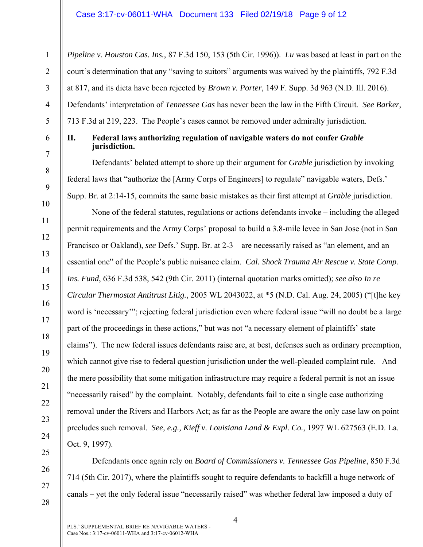*Pipeline v. Houston Cas. Ins.*, 87 F.3d 150, 153 (5th Cir. 1996)). *Lu* was based at least in part on the court's determination that any "saving to suitors" arguments was waived by the plaintiffs, 792 F.3d at 817, and its dicta have been rejected by *Brown v. Porter*, 149 F. Supp. 3d 963 (N.D. Ill. 2016). Defendants' interpretation of *Tennessee Gas* has never been the law in the Fifth Circuit*. See Barker*, 713 F.3d at 219, 223. The People's cases cannot be removed under admiralty jurisdiction.

1

2

3

4

5

6

7

8

9

10

11

12

13

14

15

16

17

18

19

20

21

22

23

24

25

26

27

28

# **II. Federal laws authorizing regulation of navigable waters do not confer** *Grable* **jurisdiction.**

Defendants' belated attempt to shore up their argument for *Grable* jurisdiction by invoking federal laws that "authorize the [Army Corps of Engineers] to regulate" navigable waters, Defs.' Supp. Br. at 2:14-15, commits the same basic mistakes as their first attempt at *Grable* jurisdiction.

None of the federal statutes, regulations or actions defendants invoke – including the alleged permit requirements and the Army Corps' proposal to build a 3.8-mile levee in San Jose (not in San Francisco or Oakland), *see* Defs.' Supp. Br. at 2-3 – are necessarily raised as "an element, and an essential one" of the People's public nuisance claim. *Cal. Shock Trauma Air Rescue v. State Comp. Ins. Fund*, 636 F.3d 538, 542 (9th Cir. 2011) (internal quotation marks omitted); *see also In re Circular Thermostat Antitrust Litig.*, 2005 WL 2043022, at \*5 (N.D. Cal. Aug. 24, 2005) ("[t]he key word is 'necessary'"; rejecting federal jurisdiction even where federal issue "will no doubt be a large part of the proceedings in these actions," but was not "a necessary element of plaintiffs' state claims"). The new federal issues defendants raise are, at best, defenses such as ordinary preemption, which cannot give rise to federal question jurisdiction under the well-pleaded complaint rule. And the mere possibility that some mitigation infrastructure may require a federal permit is not an issue "necessarily raised" by the complaint. Notably, defendants fail to cite a single case authorizing removal under the Rivers and Harbors Act; as far as the People are aware the only case law on point precludes such removal. *See, e.g., Kieff v. Louisiana Land & Expl. Co.*, 1997 WL 627563 (E.D. La. Oct. 9, 1997).

Defendants once again rely on *Board of Commissioners v. Tennessee Gas Pipeline*, 850 F.3d 714 (5th Cir. 2017), where the plaintiffs sought to require defendants to backfill a huge network of canals – yet the only federal issue "necessarily raised" was whether federal law imposed a duty of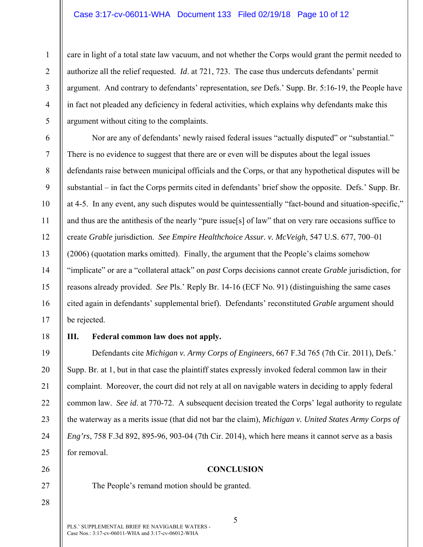### Case 3:17-cv-06011-WHA Document 133 Filed 02/19/18 Page 10 of 12

care in light of a total state law vacuum, and not whether the Corps would grant the permit needed to authorize all the relief requested. *Id*. at 721, 723. The case thus undercuts defendants' permit argument. And contrary to defendants' representation, *see* Defs.' Supp. Br. 5:16-19, the People have in fact not pleaded any deficiency in federal activities, which explains why defendants make this argument without citing to the complaints.

Nor are any of defendants' newly raised federal issues "actually disputed" or "substantial." There is no evidence to suggest that there are or even will be disputes about the legal issues defendants raise between municipal officials and the Corps, or that any hypothetical disputes will be substantial – in fact the Corps permits cited in defendants' brief show the opposite. Defs.' Supp. Br. at 4-5. In any event, any such disputes would be quintessentially "fact-bound and situation-specific," and thus are the antithesis of the nearly "pure issue[s] of law" that on very rare occasions suffice to create *Grable* jurisdiction. *See Empire Healthchoice Assur. v. McVeigh*, 547 U.S. 677, 700–01 (2006) (quotation marks omitted). Finally, the argument that the People's claims somehow "implicate" or are a "collateral attack" on *past* Corps decisions cannot create *Grable* jurisdiction, for reasons already provided. *See* Pls.' Reply Br. 14-16 (ECF No. 91) (distinguishing the same cases cited again in defendants' supplemental brief). Defendants' reconstituted *Grable* argument should be rejected.

1

2

3

4

5

6

7

8

9

10

11

12

13

14

15

16

17

18

19

20

21

22

23

24

25

26

27

28

## **III. Federal common law does not apply.**

Defendants cite *Michigan v. Army Corps of Engineers*, 667 F.3d 765 (7th Cir. 2011), Defs.' Supp. Br. at 1, but in that case the plaintiff states expressly invoked federal common law in their complaint. Moreover, the court did not rely at all on navigable waters in deciding to apply federal common law. *See id*. at 770-72. A subsequent decision treated the Corps' legal authority to regulate the waterway as a merits issue (that did not bar the claim), *Michigan v. United States Army Corps of Eng'rs*, 758 F.3d 892, 895-96, 903-04 (7th Cir. 2014), which here means it cannot serve as a basis for removal.

**CONCLUSION** 

The People's remand motion should be granted.

PLS.' SUPPLEMENTAL BRIEF RE NAVIGABLE WATERS - Case Nos.: 3:17-cv-06011-WHA and 3:17-cv-06012-WHA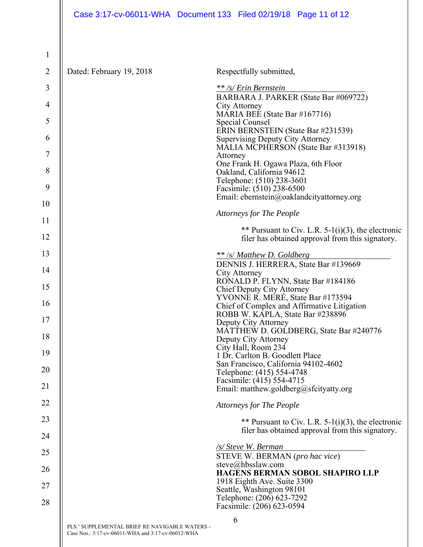| $\mathbf{1}$   |                                                                                                      |                                                                                  |
|----------------|------------------------------------------------------------------------------------------------------|----------------------------------------------------------------------------------|
| $\overline{2}$ | Dated: February 19, 2018                                                                             | Respectfully submitted,                                                          |
| 3              |                                                                                                      | ** /s/ Erin Bernstein                                                            |
| $\overline{4}$ |                                                                                                      | BARBARA J. PARKER (State Bar #069722)<br>City Attorney                           |
|                |                                                                                                      | MARIA BEE (State Bar #167716)                                                    |
| 5              |                                                                                                      | Special Counsel<br>ERIN BERNSTEIN (State Bar #231539)                            |
| 6              |                                                                                                      | <b>Supervising Deputy City Attorney</b>                                          |
| 7              |                                                                                                      | MALIA MCPHERSON (State Bar #313918)<br>Attorney                                  |
|                |                                                                                                      | One Frank H. Ogawa Plaza, 6th Floor                                              |
| 8              |                                                                                                      | Oakland, California 94612<br>Telephone: (510) 238-3601                           |
| 9              |                                                                                                      | Facsimile: (510) 238-6500                                                        |
| 10             |                                                                                                      | Email: ebernstein@oaklandcityattorney.org                                        |
| 11             |                                                                                                      | <b>Attorneys for The People</b>                                                  |
|                |                                                                                                      | ** Pursuant to Civ. L.R. $5-1(i)(3)$ , the electronic                            |
| 12             |                                                                                                      | filer has obtained approval from this signatory.                                 |
| 13             |                                                                                                      | ** /s/ Matthew D. Goldberg                                                       |
| 14             |                                                                                                      | DENNIS J. HERRERA, State Bar #139669                                             |
|                |                                                                                                      | City Attorney<br>RONALD P. FLYNN, State Bar #184186                              |
| 15             |                                                                                                      | Chief Deputy City Attorney                                                       |
| 16             |                                                                                                      | YVONNE R. MERÉ, State Bar #173594<br>Chief of Complex and Affirmative Litigation |
| 17             |                                                                                                      | ROBB W. KAPLA, State Bar #238896                                                 |
|                |                                                                                                      | Deputy City Attorney<br>MATTHEW D. GOLDBERG, State Bar #240776                   |
| 18             |                                                                                                      | Deputy City Attorney                                                             |
| 19             |                                                                                                      | City Hall, Room 234<br>1 Dr. Carlton B. Goodlett Place                           |
|                |                                                                                                      | San Francisco, California 94102-4602                                             |
| 20             |                                                                                                      | Telephone: (415) 554-4748                                                        |
| 21             |                                                                                                      | Facsimile: (415) 554-4715<br>Email: matthew.goldberg@sfcityatty.org              |
|                |                                                                                                      |                                                                                  |
| 22             |                                                                                                      | <b>Attorneys for The People</b>                                                  |
| 23             |                                                                                                      | ** Pursuant to Civ. L.R. 5-1(i)(3), the electronic                               |
| 24             |                                                                                                      | filer has obtained approval from this signatory.                                 |
|                |                                                                                                      | /s/ Steve W. Berman                                                              |
| 25             |                                                                                                      | STEVE W. BERMAN (pro hac vice)                                                   |
| 26             |                                                                                                      | steve@hbsslaw.com<br>HAGENS BERMAN SOBOL SHAPIRO LLP                             |
| 27             |                                                                                                      | 1918 Eighth Ave. Suite 3300                                                      |
|                |                                                                                                      | Seattle, Washington 98101<br>Telephone: (206) 623-7292                           |
| 28             |                                                                                                      | Facsimile: (206) 623-0594                                                        |
|                |                                                                                                      | 6                                                                                |
|                | PLS.' SUPPLEMENTAL BRIEF RE NAVIGABLE WATERS -<br>Case Nos.: 3:17-cv-06011-WHA and 3:17-cv-06012-WHA |                                                                                  |

 $\overline{\phantom{a}}$